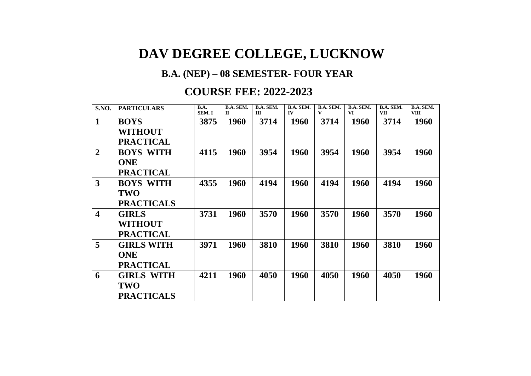## **DAV DEGREE COLLEGE, LUCKNOW**

## **B.A. (NEP) – 08 SEMESTER- FOUR YEAR**

## **COURSE FEE: 2022-2023**

| <b>S.NO.</b>            | <b>PARTICULARS</b> | B.A.<br>SEM. I | <b>B.A. SEM.</b><br>П | B.A. SEM.<br>Ш | B.A. SEM.<br>IV | B.A. SEM.<br>V | B.A. SEM.<br><b>VI</b> | <b>B.A. SEM.</b><br><b>VII</b> | B.A. SEM.<br><b>VIII</b> |
|-------------------------|--------------------|----------------|-----------------------|----------------|-----------------|----------------|------------------------|--------------------------------|--------------------------|
| $\mathbf{1}$            | <b>BOYS</b>        | 3875           | 1960                  | 3714           | 1960            | 3714           | 1960                   | 3714                           | 1960                     |
|                         | <b>WITHOUT</b>     |                |                       |                |                 |                |                        |                                |                          |
|                         | <b>PRACTICAL</b>   |                |                       |                |                 |                |                        |                                |                          |
| $\overline{2}$          | <b>BOYS WITH</b>   | 4115           | 1960                  | 3954           | 1960            | 3954           | 1960                   | 3954                           | 1960                     |
|                         | <b>ONE</b>         |                |                       |                |                 |                |                        |                                |                          |
|                         | <b>PRACTICAL</b>   |                |                       |                |                 |                |                        |                                |                          |
| 3                       | <b>BOYS WITH</b>   | 4355           | 1960                  | 4194           | 1960            | 4194           | 1960                   | 4194                           | 1960                     |
|                         | <b>TWO</b>         |                |                       |                |                 |                |                        |                                |                          |
|                         | <b>PRACTICALS</b>  |                |                       |                |                 |                |                        |                                |                          |
| $\overline{\mathbf{4}}$ | <b>GIRLS</b>       | 3731           | 1960                  | 3570           | 1960            | 3570           | 1960                   | 3570                           | 1960                     |
|                         | <b>WITHOUT</b>     |                |                       |                |                 |                |                        |                                |                          |
|                         | <b>PRACTICAL</b>   |                |                       |                |                 |                |                        |                                |                          |
| 5                       | <b>GIRLS WITH</b>  | 3971           | 1960                  | 3810           | 1960            | 3810           | 1960                   | 3810                           | 1960                     |
|                         | <b>ONE</b>         |                |                       |                |                 |                |                        |                                |                          |
|                         | <b>PRACTICAL</b>   |                |                       |                |                 |                |                        |                                |                          |
| 6                       | <b>GIRLS WITH</b>  | 4211           | 1960                  | 4050           | 1960            | 4050           | 1960                   | 4050                           | <b>1960</b>              |
|                         | TWO                |                |                       |                |                 |                |                        |                                |                          |
|                         | <b>PRACTICALS</b>  |                |                       |                |                 |                |                        |                                |                          |